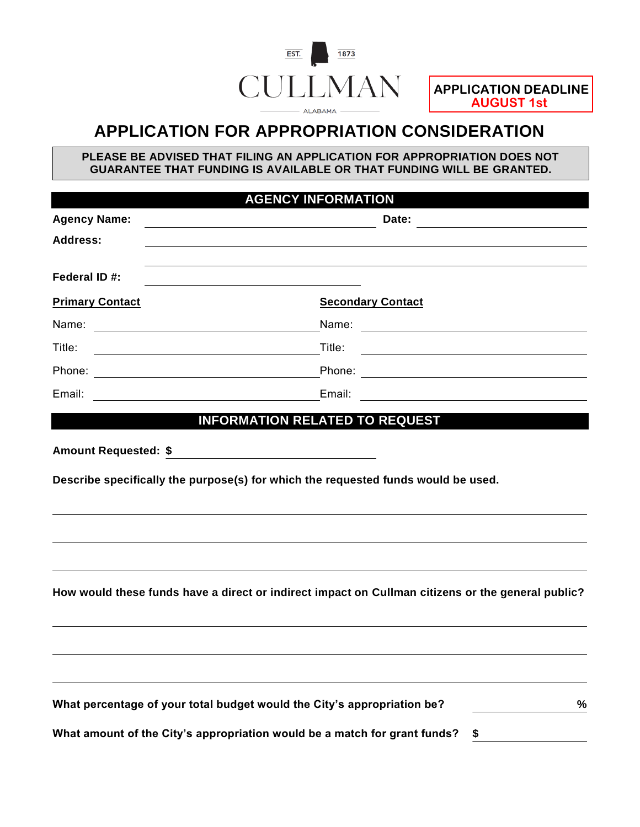

# **APPLICATION FOR APPROPRIATION CONSIDERATION**

**PLEASE BE ADVISED THAT FILING AN APPLICATION FOR APPROPRIATION DOES NOT GUARANTEE THAT FUNDING IS AVAILABLE OR THAT FUNDING WILL BE GRANTED.**

|                                                                                                                                | <b>AGENCY INFORMATION</b>                                                                                                        |  |  |  |
|--------------------------------------------------------------------------------------------------------------------------------|----------------------------------------------------------------------------------------------------------------------------------|--|--|--|
| <b>Agency Name:</b>                                                                                                            | Date:                                                                                                                            |  |  |  |
| <b>Address:</b>                                                                                                                |                                                                                                                                  |  |  |  |
| Federal ID #:                                                                                                                  |                                                                                                                                  |  |  |  |
| <b>Primary Contact</b>                                                                                                         | <b>Secondary Contact</b>                                                                                                         |  |  |  |
|                                                                                                                                |                                                                                                                                  |  |  |  |
| Title:<br><u> 1980 - Johann Barn, mars ann an t-Amhain Aonaich an t-Aonaich an t-Aonaich ann an t-Aonaich ann an t-Aonaich</u> | Title:<br><u> 1980 - Johann Stoff, deutscher Stoffen und der Stoffen und der Stoffen und der Stoffen und der Stoffen und der</u> |  |  |  |
|                                                                                                                                |                                                                                                                                  |  |  |  |
| Email:                                                                                                                         | Email:<br><u> 1989 - Johann Stein, fransk politik (d. 1989)</u>                                                                  |  |  |  |
|                                                                                                                                |                                                                                                                                  |  |  |  |
|                                                                                                                                |                                                                                                                                  |  |  |  |
|                                                                                                                                | How would these funds have a direct or indirect impact on Cullman citizens or the general public?                                |  |  |  |
|                                                                                                                                |                                                                                                                                  |  |  |  |
|                                                                                                                                | What percentage of your total budget would the City's appropriation be?<br>%                                                     |  |  |  |
|                                                                                                                                | What amount of the City's appropriation would be a match for grant funds?<br>\$                                                  |  |  |  |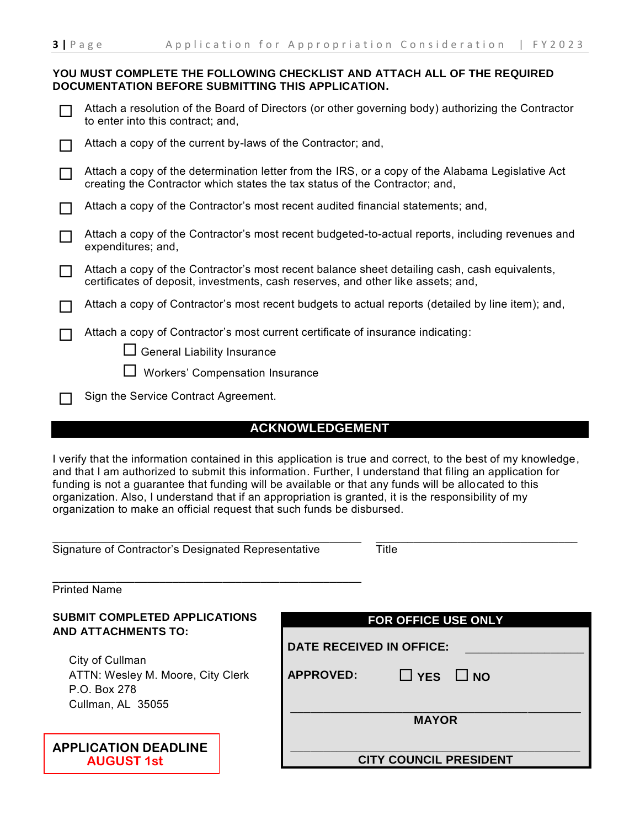#### **YOU MUST COMPLETE THE FOLLOWING CHECKLIST AND ATTACH ALL OF THE REQUIRED DOCUMENTATION BEFORE SUBMITTING THIS APPLICATION.**

| Attach a resolution of the Board of Directors (or other governing body) authorizing the Contractor |
|----------------------------------------------------------------------------------------------------|
| to enter into this contract; and,                                                                  |

| □ Attach a copy of the current by-laws of the Contractor; and, |  |
|----------------------------------------------------------------|--|
|----------------------------------------------------------------|--|

- $\Box$  Attach a copy of the determination letter from the IRS, or a copy of the Alabama Legislative Act creating the Contractor which states the tax status of the Contractor; and,
- $\Box$  Attach a copy of the Contractor's most recent audited financial statements; and,
- Attach a copy of the Contractor's most recent budgeted-to-actual reports, including revenues and expenditures; and,
- Attach a copy of the Contractor's most recent balance sheet detailing cash, cash equivalents, certificates of deposit, investments, cash reserves, and other like assets; and,
- Attach a copy of Contractor's most recent budgets to actual reports (detailed by line item); and,
- Attach a copy of Contractor's most current certificate of insurance indicating:
	- $\Box$  General Liability Insurance
	- $\Box$  Workers' Compensation Insurance
- Sign the Service Contract Agreement.

### **ACKNOWLEDGEMENT**

I verify that the information contained in this application is true and correct, to the best of my knowledge, and that I am authorized to submit this information. Further, I understand that filing an application for funding is not a guarantee that funding will be available or that any funds will be allocated to this organization. Also, I understand that if an appropriation is granted, it is the responsibility of my organization to make an official request that such funds be disbursed.

|  | Signature of Contractor's Designated Representative |
|--|-----------------------------------------------------|
|  |                                                     |

\_\_\_\_\_\_\_\_\_\_\_\_\_\_\_\_\_\_\_\_\_\_\_\_\_\_\_\_\_\_\_\_\_\_\_\_\_\_\_\_\_\_\_\_\_\_\_\_\_

\_\_\_\_\_\_\_\_\_\_\_\_\_\_\_\_\_\_\_\_\_\_\_\_\_\_\_\_\_\_\_\_ Title

\_\_\_\_\_\_\_\_\_\_\_\_\_\_\_\_\_\_\_\_\_\_\_\_\_\_\_\_\_\_\_\_\_\_\_\_\_\_\_\_\_\_\_\_\_\_\_\_\_ Printed Name

#### **SUBMIT COMPLETED APPLICATIONS AND ATTACHMENTS TO:**

City of Cullman ATTN: Wesley M. Moore, City Clerk P.O. Box 278 Cullman, AL 35055

| <b>APPLICATION DEADLINE</b> |
|-----------------------------|
| <b>AUGUST 1st</b>           |

| FOR OFFICE USE ONLY           |                      |  |  |  |  |  |
|-------------------------------|----------------------|--|--|--|--|--|
| DATE RECEIVED IN OFFICE:      |                      |  |  |  |  |  |
| <b>APPROVED:</b>              | $\Box$ YES $\Box$ NO |  |  |  |  |  |
| <b>MAYOR</b>                  |                      |  |  |  |  |  |
| <b>CITY COUNCIL PRESIDENT</b> |                      |  |  |  |  |  |